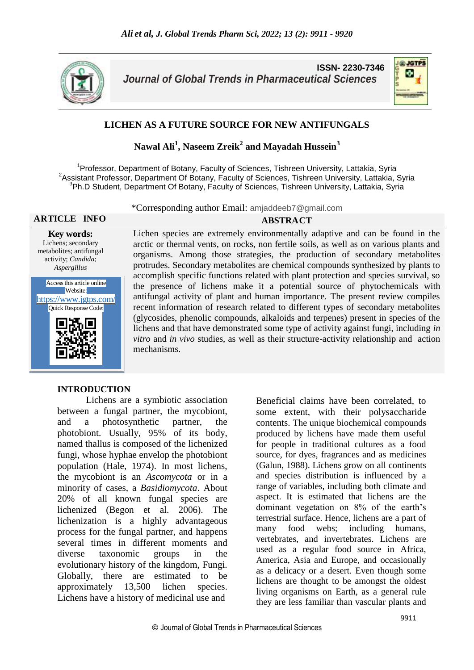

**ISSN- 2230-7346** *Journal of Global Trends in Pharmaceutical Sciences*



## **LICHEN AS A FUTURE SOURCE FOR NEW ANTIFUNGALS**

# **Nawal Ali<sup>1</sup> , Naseem Zreik<sup>2</sup> and Mayadah Hussein<sup>3</sup>**

<sup>1</sup>Professor, Department of Botany, Faculty of Sciences, Tishreen University, Lattakia, Syria <sup>2</sup> Assistant Professor, Department Of Botany, Faculty of Sciences, Tishreen University, Lattakia, Syria <sup>3</sup>Ph.D Student, Department Of Botany, Faculty of Sciences, Tishreen University, Lattakia, Syria

\*Corresponding author Email: amjaddeeb7@gmail.com

**ARTICLE INFO ABSTRACT Key words:** Lichen species are extremely environmentally adaptive and can be found in the arctic or thermal vents, on rocks, non fertile soils, as well as on various plants and

> organisms. Among those strategies, the production of secondary metabolites protrudes. Secondary metabolites are chemical compounds synthesized by plants to accomplish specific functions related with plant protection and species survival, so the presence of lichens make it a potential source of phytochemicals with antifungal activity of plant and human importance. The present review compiles recent information of research related to different types of secondary metabolites (glycosides, phenolic compounds, alkaloids and terpenes) present in species of the lichens and that have demonstrated some type of activity against fungi, including *in vitro* and *in vivo* studies, as well as their structure-activity relationship and action

Lichens; secondary metabolites; antifungal activity; *Candida*; *Aspergillus*



#### **INTRODUCTION**

 Lichens are a symbiotic association between a fungal partner, the mycobiont, and a photosynthetic partner, the photobiont. Usually, 95% of its body, named thallus is composed of the lichenized fungi, whose hyphae envelop the photobiont population (Hale, 1974). In most lichens, the mycobiont is an *Ascomycota* or in a minority of cases, a *Basidiomycota*. About 20% of all known fungal species are lichenized (Begon et al. 2006). The lichenization is a highly advantageous process for the fungal partner, and happens several times in different moments and diverse taxonomic groups in the evolutionary history of the kingdom, Fungi. Globally, there are estimated to be approximately 13,500 lichen species. Lichens have a history of medicinal use and

mechanisms.

Beneficial claims have been correlated, to some extent, with their polysaccharide contents. The unique biochemical compounds produced by lichens have made them useful for people in traditional cultures as a food source, for dyes, fragrances and as medicines (Galun, 1988). Lichens grow on all continents and species distribution is influenced by a range of variables, including both climate and aspect. It is estimated that lichens are the dominant vegetation on 8% of the earth's terrestrial surface. Hence, lichens are a part of many food webs; including humans, vertebrates, and invertebrates. Lichens are used as a regular food source in Africa, America, Asia and Europe, and occasionally as a delicacy or a desert. Even though some lichens are thought to be amongst the oldest living organisms on Earth, as a general rule they are less familiar than vascular plants and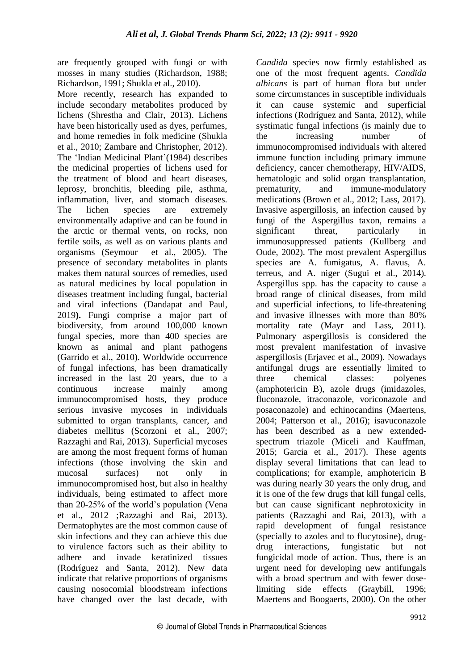are frequently grouped with fungi or with mosses in many studies (Richardson, 1988; Richardson, 1991; Shukla et al., 2010).

More recently, research has expanded to include secondary metabolites produced by lichens (Shrestha and Clair, 2013). Lichens have been historically used as dyes, perfumes, and home remedies in folk medicine (Shukla et al., 2010; Zambare and Christopher, 2012). The 'Indian Medicinal Plant'(1984) describes the medicinal properties of lichens used for the treatment of blood and heart diseases, leprosy, bronchitis, bleeding pile, asthma, inflammation, liver, and stomach diseases. The lichen species are extremely environmentally adaptive and can be found in the arctic or thermal vents, on rocks, non fertile soils, as well as on various plants and organisms (Seymour et al., 2005). The presence of secondary metabolites in plants makes them natural sources of remedies, used as natural medicines by local population in diseases treatment including fungal, bacterial and viral infections (Dandapat and Paul, 2019**).** Fungi comprise a major part of biodiversity, from around 100,000 known fungal species, more than 400 species are known as animal and plant pathogens (Garrido et al., 2010). Worldwide occurrence of fungal infections, has been dramatically increased in the last 20 years, due to a continuous increase mainly among immunocompromised hosts, they produce serious invasive mycoses in individuals submitted to organ transplants, cancer, and diabetes mellitus (Scorzoni et al., 2007; Razzaghi and Rai, 2013). Superficial mycoses are among the most frequent forms of human infections (those involving the skin and mucosal surfaces) not only in immunocompromised host, but also in healthy individuals, being estimated to affect more than 20-25% of the world's population (Vena et al., 2012 ;Razzaghi and Rai, 2013). Dermatophytes are the most common cause of skin infections and they can achieve this due to virulence factors such as their ability to adhere and invade keratinized tissues (Rodríguez and Santa, 2012). New data indicate that relative proportions of organisms causing nosocomial bloodstream infections have changed over the last decade, with

*Candida* species now firmly established as one of the most frequent agents. *Candida albicans* is part of human flora but under some circumstances in susceptible individuals it can cause systemic and superficial infections (Rodríguez and Santa, 2012), while systimatic fungal infections (is mainly due to the increasing number of immunocompromised individuals with altered immune function including primary immune deficiency, cancer chemotherapy, HIV/AIDS, hematologic and solid organ transplantation, prematurity, and immune-modulatory medications (Brown et al., 2012; Lass, 2017). Invasive aspergillosis, an infection caused by fungi of the Aspergillus taxon, remains a significant threat, particularly in immunosuppressed patients (Kullberg and Oude, 2002). The most prevalent Aspergillus species are A. fumigatus, A. flavus, A. terreus, and A. niger (Sugui et al., 2014). Aspergillus spp. has the capacity to cause a broad range of clinical diseases, from mild and superficial infections, to life-threatening and invasive illnesses with more than 80% mortality rate (Mayr and Lass, 2011). Pulmonary aspergillosis is considered the most prevalent manifestation of invasive aspergillosis (Erjavec et al., 2009). Nowadays antifungal drugs are essentially limited to three chemical classes: polyenes (amphotericin B), azole drugs (imidazoles, fluconazole, itraconazole, voriconazole and posaconazole) and echinocandins (Maertens, 2004; Patterson et al., 2016); isavuconazole has been described as a new extendedspectrum triazole (Miceli and Kauffman, 2015; Garcia et al., 2017). These agents display several limitations that can lead to complications; for example, amphotericin B was during nearly 30 years the only drug, and it is one of the few drugs that kill fungal cells, but can cause significant nephrotoxicity in patients (Razzaghi and Rai, 2013), with a rapid development of fungal resistance (specially to azoles and to flucytosine), drugdrug interactions, fungistatic but not fungicidal mode of action. Thus, there is an urgent need for developing new antifungals with a broad spectrum and with fewer doselimiting side effects (Graybill, 1996; Maertens and Boogaerts, 2000). On the other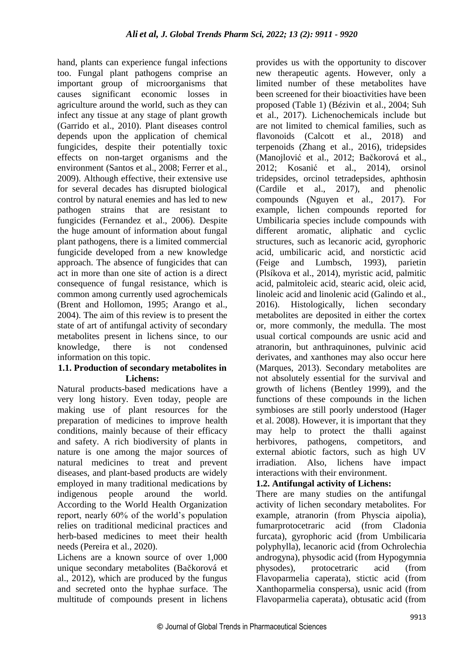hand, plants can experience fungal infections too. Fungal plant pathogens comprise an important group of microorganisms that causes significant economic losses in agriculture around the world, such as they can infect any tissue at any stage of plant growth (Garrido et al., 2010). Plant diseases control depends upon the application of chemical fungicides, despite their potentially toxic effects on non-target organisms and the environment (Santos et al., 2008; Ferrer et al., 2009). Although effective, their extensive use for several decades has disrupted biological control by natural enemies and has led to new pathogen strains that are resistant to fungicides (Fernandez et al., 2006). Despite the huge amount of information about fungal plant pathogens, there is a limited commercial fungicide developed from a new knowledge approach. The absence of fungicides that can act in more than one site of action is a direct consequence of fungal resistance, which is common among currently used agrochemicals (Brent and Hollomon, 1995; Arango et al., 2004). The aim of this review is to present the state of art of antifungal activity of secondary metabolites present in lichens since, to our knowledge, there is not condensed information on this topic.

#### **1.1. Production of secondary metabolites in Lichens:**

Natural products-based medications have a very long history. Even today, people are making use of plant resources for the preparation of medicines to improve health conditions, mainly because of their efficacy and safety. A rich biodiversity of plants in nature is one among the major sources of natural medicines to treat and prevent diseases, and plant-based products are widely employed in many traditional medications by indigenous people around the world. According to the World Health Organization report, nearly 60% of the world's population relies on traditional medicinal practices and herb-based medicines to meet their health needs (Pereira et al., 2020).

Lichens are a known source of over 1,000 unique secondary metabolites (Bačkorová et al., 2012), which are produced by the fungus and secreted onto the hyphae surface. The multitude of compounds present in lichens provides us with the opportunity to discover new therapeutic agents. However, only a limited number of these metabolites have been screened for their bioactivities have been proposed (Table 1) (Bézivin et al., 2004; Suh et al., 2017). Lichenochemicals include but are not limited to chemical families, such as flavonoids (Calcott et al., 2018) and terpenoids (Zhang et al., 2016), tridepsides (Manojlović et al., 2012; Bačkorová et al., 2012; Kosanić et al., 2014), orsinol tridepsides, orcinol tetradepsides, aphthosin (Cardile et al., 2017), and phenolic compounds (Nguyen et al., 2017). For example, lichen compounds reported for Umbilicaria species include compounds with different aromatic, aliphatic and cyclic structures, such as lecanoric acid, gyrophoric acid, umbilicaric acid, and norstictic acid (Feige and Lumbsch, 1993), parietin (Plsíkova et al., 2014), myristic acid, palmitic acid, palmitoleic acid, stearic acid, oleic acid, linoleic acid and linolenic acid (Galindo et al., 2016). Histologically, lichen secondary metabolites are deposited in either the cortex or, more commonly, the medulla. The most usual cortical compounds are usnic acid and atranorin, but anthraquinones, pulvinic acid derivates, and xanthones may also occur here (Marques, 2013). Secondary metabolites are not absolutely essential for the survival and growth of lichens (Bentley 1999), and the functions of these compounds in the lichen symbioses are still poorly understood (Hager et al. 2008). However, it is important that they may help to protect the thalli against herbivores, pathogens, competitors, and external abiotic factors, such as high UV irradiation. Also, lichens have impact interactions with their environment.

## **1.2. Antifungal activity of Lichens:**

There are many studies on the antifungal activity of lichen secondary metabolites. For example, atranorin (from Physcia aipolia), fumarprotocetraric acid (from Cladonia furcata), gyrophoric acid (from Umbilicaria polyphylla), lecanoric acid (from Ochrolechia androgyna), physodic acid (from Hypogymnia physodes), protocetraric acid (from Flavoparmelia caperata), stictic acid (from Xanthoparmelia conspersa), usnic acid (from Flavoparmelia caperata), obtusatic acid (from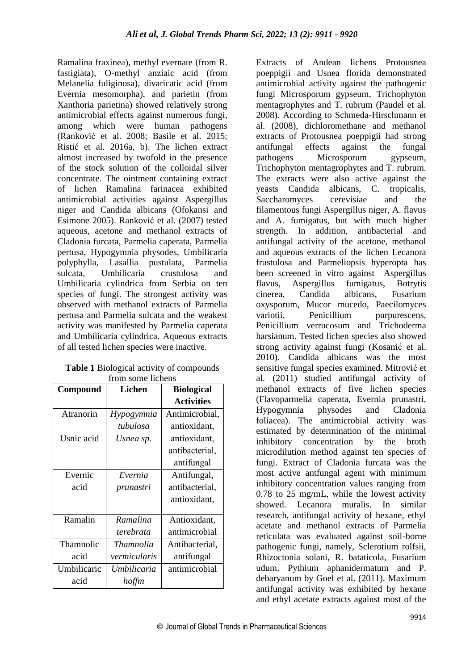Ramalina fraxinea), methyl evernate (from R. fastigiata), O-methyl anziaic acid (from Melanelia fuliginosa), divaricatic acid (from Evernia mesomorpha), and parietin (from Xanthoria parietina) showed relatively strong antimicrobial effects against numerous fungi, among which were human pathogens (Ranković et al. 2008; Basile et al. 2015; Ristić et al. 2016a, b). The lichen extract almost increased by twofold in the presence of the stock solution of the colloidal silver concentrate. The ointment containing extract of lichen Ramalina farinacea exhibited antimicrobial activities against Aspergillus niger and Candida albicans (Ofokansi and Esimone 2005). Ranković et al. (2007) tested aqueous, acetone and methanol extracts of Cladonia furcata, Parmelia caperata, Parmelia pertusa, Hypogymnia physodes, Umbilicaria polyphylla, Lasallia pustulata, Parmelia sulcata, Umbilicaria crustulosa and Umbilicaria cylindrica from Serbia on ten species of fungi. The strongest activity was observed with methanol extracts of Parmelia pertusa and Parmelia sulcata and the weakest activity was manifested by Parmelia caperata and Umbilicaria cylindrica. Aqueous extracts of all tested lichen species were inactive.

| <b>Table 1 Biological activity of compounds</b> |  |  |
|-------------------------------------------------|--|--|
| from some lichens                               |  |  |

| Compound    | Lichen           | <b>Biological</b> |
|-------------|------------------|-------------------|
|             |                  | <b>Activities</b> |
| Atranorin   | Hypogymnia       | Antimicrobial,    |
|             | tubulosa         | antioxidant,      |
| Usnic acid  | Usnea sp.        | antioxidant,      |
|             |                  | antibacterial,    |
|             |                  | antifungal        |
| Evernic     | Evernia          | Antifungal,       |
| acid        | prunastri        | antibacterial,    |
|             |                  | antioxidant,      |
|             |                  |                   |
| Ramalin     | Ramalina         | Antioxidant,      |
|             | terebrata        | antimicrobial     |
| Thamnolic   | <b>Thamnolia</b> | Antibacterial,    |
| acid        | vermicularis     | antifungal        |
| Umbilicaric | Umbilicaria      | antimicrobial     |
| acid        | hoffm            |                   |

Extracts of Andean lichens Protousnea poeppigii and Usnea florida demonstrated antimicrobial activity against the pathogenic fungi Microsporum gypseum, Trichophyton mentagrophytes and T. rubrum (Paudel et al. 2008). According to Schmeda-Hirschmann et al. (2008), dichloromethane and methanol extracts of Protousnea poeppigii had strong antifungal effects against the fungal pathogens Microsporum gypseum, Trichophyton mentagrophytes and T. rubrum. The extracts were also active against the yeasts Candida albicans, C. tropicalis, Saccharomyces cerevisiae and the filamentous fungi Aspergillus niger, A. flavus and A. fumigatus, but with much higher strength. In addition, antibacterial and antifungal activity of the acetone, methanol and aqueous extracts of the lichen Lecanora frustulosa and Parmeliopsis hyperopta has been screened in vitro against Aspergillus flavus, Aspergillus fumigatus, Botrytis cinerea, Candida albicans, Fusarium oxysporum, Mucor mucedo, Paecilomyces variotii. Penicillium purpurescens, Penicillium verrucosum and Trichoderma harsianum. Tested lichen species also showed strong activity against fungi (Kosanić et al. 2010). Candida albicans was the most sensitive fungal species examined. Mitrović et al. (2011) studied antifungal activity of methanol extracts of five lichen species (Flavoparmelia caperata, Evernia prunastri, Hypogymnia physodes and Cladonia foliacea). The antimicrobial activity was estimated by determination of the minimal inhibitory concentration by the broth microdilution method against ten species of fungi. Extract of Cladonia furcata was the most active antfungal agent with minimum inhibitory concentration values ranging from 0.78 to 25 mg/mL, while the lowest activity showed. Lecanora muralis. In similar research, antifungal activity of hexane, ethyl acetate and methanol extracts of Parmelia reticulata was evaluated against soil-borne pathogenic fungi, namely, Sclerotium rolfsii, Rhizoctonia solani, R. bataticola, Fusarium udum, Pythium aphanidermatum and P. debaryanum by Goel et al. (2011). Maximum antifungal activity was exhibited by hexane and ethyl acetate extracts against most of the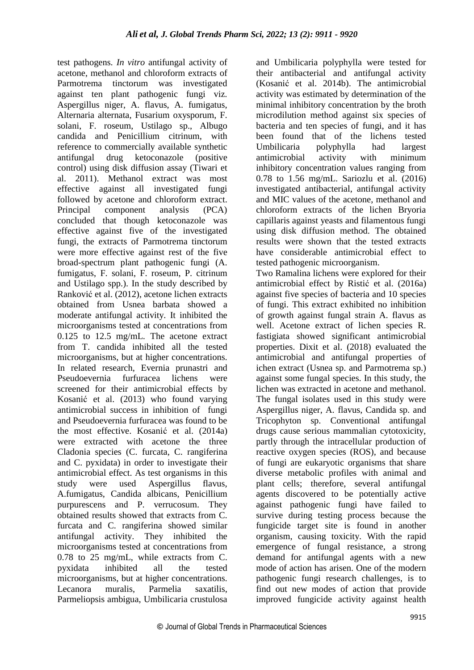test pathogens. *In vitro* antifungal activity of acetone, methanol and chloroform extracts of Parmotrema tinctorum was investigated against ten plant pathogenic fungi viz. Aspergillus niger, A. flavus, A. fumigatus, Alternaria alternata, Fusarium oxysporum, F. solani, F. roseum, Ustilago sp., Albugo candida and Penicillium citrinum, with reference to commercially available synthetic antifungal drug ketoconazole (positive control) using disk diffusion assay (Tiwari et al. 2011). Methanol extract was most effective against all investigated fungi followed by acetone and chloroform extract. Principal component analysis (PCA) concluded that though ketoconazole was effective against five of the investigated fungi, the extracts of Parmotrema tinctorum were more effective against rest of the five broad-spectrum plant pathogenic fungi (A. fumigatus, F. solani, F. roseum, P. citrinum and Ustilago spp.). In the study described by Ranković et al. (2012), acetone lichen extracts obtained from Usnea barbata showed a moderate antifungal activity. It inhibited the microorganisms tested at concentrations from 0.125 to 12.5 mg/mL. The acetone extract from T. candida inhibited all the tested microorganisms, but at higher concentrations. In related research, Evernia prunastri and Pseudoevernia furfuracea lichens were screened for their antimicrobial effects by Kosanić et al. (2013) who found varying antimicrobial success in inhibition of fungi and Pseudoevernia furfuracea was found to be the most effective. Kosanić et al. (2014a) were extracted with acetone the three Cladonia species (C. furcata, C. rangiferina and C. pyxidata) in order to investigate their antimicrobial effect. As test organisms in this study were used Aspergillus flavus, A.fumigatus, Candida albicans, Penicillium purpurescens and P. verrucosum. They obtained results showed that extracts from C. furcata and C. rangiferina showed similar antifungal activity. They inhibited the microorganisms tested at concentrations from 0.78 to 25 mg/mL, while extracts from C. pyxidata inhibited all the tested microorganisms, but at higher concentrations. Lecanora muralis, Parmelia saxatilis, Parmeliopsis ambigua, Umbilicaria crustulosa

and Umbilicaria polyphylla were tested for their antibacterial and antifungal activity (Kosanić et al. 2014b). The antimicrobial activity was estimated by determination of the minimal inhibitory concentration by the broth microdilution method against six species of bacteria and ten species of fungi, and it has been found that of the lichens tested Umbilicaria polyphylla had largest antimicrobial activity with minimum inhibitory concentration values ranging from 0.78 to 1.56 mg/mL. Sariozlu et al. (2016) investigated antibacterial, antifungal activity and MIC values of the acetone, methanol and chloroform extracts of the lichen Bryoria capillaris against yeasts and filamentous fungi using disk diffusion method. The obtained results were shown that the tested extracts have considerable antimicrobial effect to tested pathogenic microorganism. Two Ramalina lichens were explored for their antimicrobial effect by Ristić et al. (2016a) against five species of bacteria and 10 species of fungi. This extract exhibited no inhibition of growth against fungal strain A. flavus as well. Acetone extract of lichen species R. fastigiata showed significant antimicrobial properties. Dixit et al. (2018) evaluated the antimicrobial and antifungal properties of

ichen extract (Usnea sp. and Parmotrema sp.) against some fungal species. In this study, the lichen was extracted in acetone and methanol. The fungal isolates used in this study were Aspergillus niger, A. flavus, Candida sp. and Tricophyton sp. Conventional antifungal drugs cause serious mammalian cytotoxicity, partly through the intracellular production of reactive oxygen species (ROS), and because of fungi are eukaryotic organisms that share diverse metabolic profiles with animal and plant cells; therefore, several antifungal agents discovered to be potentially active against pathogenic fungi have failed to survive during testing process because the fungicide target site is found in another organism, causing toxicity. With the rapid emergence of fungal resistance, a strong demand for antifungal agents with a new mode of action has arisen. One of the modern pathogenic fungi research challenges, is to find out new modes of action that provide improved fungicide activity against health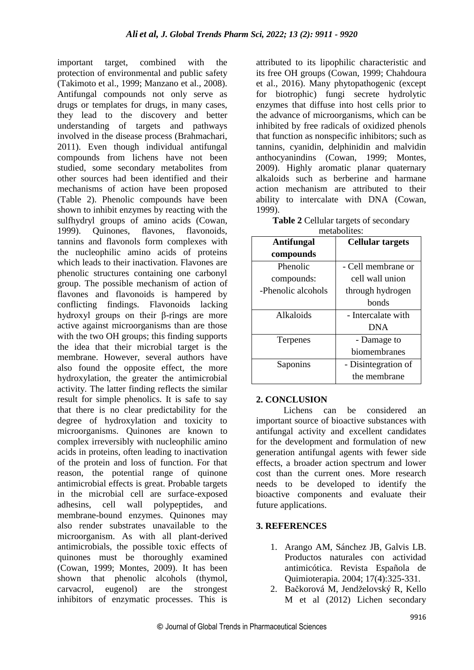important target, combined with the protection of environmental and public safety (Takimoto et al., 1999; Manzano et al., 2008). Antifungal compounds not only serve as drugs or templates for drugs, in many cases, they lead to the discovery and better understanding of targets and pathways involved in the disease process (Brahmachari, 2011). Even though individual antifungal compounds from lichens have not been studied, some secondary metabolites from other sources had been identified and their mechanisms of action have been proposed (Table 2). Phenolic compounds have been shown to inhibit enzymes by reacting with the sulfhydryl groups of amino acids (Cowan, 1999). Quinones, flavones, flavonoids, tannins and flavonols form complexes with the nucleophilic amino acids of proteins which leads to their inactivation. Flavones are phenolic structures containing one carbonyl group. The possible mechanism of action of flavones and flavonoids is hampered by conflicting findings. Flavonoids lacking hydroxyl groups on their β-rings are more active against microorganisms than are those with the two OH groups; this finding supports the idea that their microbial target is the membrane. However, several authors have also found the opposite effect, the more hydroxylation, the greater the antimicrobial activity. The latter finding reflects the similar result for simple phenolics. It is safe to say that there is no clear predictability for the degree of hydroxylation and toxicity to microorganisms. Quinones are known to complex irreversibly with nucleophilic amino acids in proteins, often leading to inactivation of the protein and loss of function. For that reason, the potential range of quinone antimicrobial effects is great. Probable targets in the microbial cell are surface-exposed adhesins, cell wall polypeptides, and membrane-bound enzymes. Quinones may also render substrates unavailable to the microorganism. As with all plant-derived antimicrobials, the possible toxic effects of quinones must be thoroughly examined (Cowan, 1999; Montes, 2009). It has been shown that phenolic alcohols (thymol, carvacrol, eugenol) are the strongest inhibitors of enzymatic processes. This is

attributed to its lipophilic characteristic and its free OH groups (Cowan, 1999; Chahdoura et al., 2016). Many phytopathogenic (except for biotrophic) fungi secrete hydrolytic enzymes that diffuse into host cells prior to the advance of microorganisms, which can be inhibited by free radicals of oxidized phenols that function as nonspecific inhibitors; such as tannins, cyanidin, delphinidin and malvidin anthocyanindins (Cowan, 1999; Montes, 2009). Highly aromatic planar quaternary alkaloids such as berberine and harmane action mechanism are attributed to their ability to intercalate with DNA (Cowan, 1999).

| <b>Table 2 Cellular targets of secondary</b> |  |  |
|----------------------------------------------|--|--|
| metabolites:                                 |  |  |

| пісканчись.        |                         |  |
|--------------------|-------------------------|--|
| <b>Antifungal</b>  | <b>Cellular targets</b> |  |
| compounds          |                         |  |
| Phenolic           | - Cell membrane or      |  |
| compounds:         | cell wall union         |  |
| -Phenolic alcohols | through hydrogen        |  |
|                    | bonds                   |  |
| Alkaloids          | - Intercalate with      |  |
|                    | <b>DNA</b>              |  |
| Terpenes           | - Damage to             |  |
|                    | biomembranes            |  |
| Saponins           | - Disintegration of     |  |
|                    | the membrane            |  |

## **2. CONCLUSION**

 Lichens can be considered an important source of bioactive substances with antifungal activity and excellent candidates for the development and formulation of new generation antifungal agents with fewer side effects, a broader action spectrum and lower cost than the current ones. More research needs to be developed to identify the bioactive components and evaluate their future applications.

#### **3. REFERENCES**

- 1. Arango AM, Sánchez JB, Galvis LB. Productos naturales con actividad antimicótica. Revista Española de Quimioterapia. 2004; 17(4):325-331.
- 2. Bačkorová M, Jendželovský R, Kello M et al (2012) Lichen secondary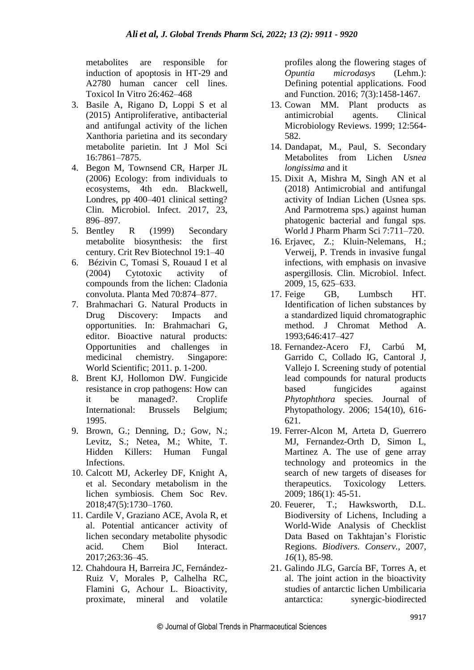metabolites are responsible for induction of apoptosis in HT-29 and A2780 human cancer cell lines. Toxicol In Vitro 26:462–468

- 3. Basile A, Rigano D, Loppi S et al (2015) Antiproliferative, antibacterial and antifungal activity of the lichen Xanthoria parietina and its secondary metabolite parietin. Int J Mol Sci 16:7861–7875.
- 4. Begon M, Townsend CR, Harper JL (2006) Ecology: from individuals to ecosystems, 4th edn. Blackwell, Londres, pp 400–401 clinical setting? Clin. Microbiol. Infect. 2017, 23, 896–897.
- 5. Bentley R (1999) Secondary metabolite biosynthesis: the first century. Crit Rev Biotechnol 19:1–40
- 6. Bézivin C, Tomasi S, Rouaud I et al (2004) Cytotoxic activity of compounds from the lichen: Cladonia convoluta. Planta Med 70:874–877.
- 7. Brahmachari G. Natural Products in Drug Discovery: Impacts and opportunities. In: Brahmachari G, editor. Bioactive natural products: Opportunities and challenges in medicinal chemistry. Singapore: World Scientific; 2011. p. 1-200.
- 8. Brent KJ, Hollomon DW. Fungicide resistance in crop pathogens: How can it be managed?. Croplife International: Brussels Belgium; 1995.
- 9. Brown, G.; Denning, D.; Gow, N.; Levitz, S.; Netea, M.; White, T. Hidden Killers: Human Fungal Infections.
- 10. Calcott MJ, Ackerley DF, Knight A, et al. Secondary metabolism in the lichen symbiosis. Chem Soc Rev. 2018;47(5):1730–1760.
- 11. Cardile V, Graziano ACE, Avola R, et al. Potential anticancer activity of lichen secondary metabolite physodic acid. Chem Biol Interact. 2017;263:36–45.
- 12. Chahdoura H, Barreira JC, Fernández-Ruiz V, Morales P, Calhelha RC, Flamini G, Achour L. Bioactivity, proximate, mineral and volatile

profiles along the flowering stages of *Opuntia microdasys* (Lehm.): Defining potential applications. Food and Function. 2016; 7(3):1458-1467.

- 13. Cowan MM. Plant products as antimicrobial agents. Clinical Microbiology Reviews. 1999; 12:564- 582.
- 14. Dandapat, M., Paul, S. Secondary Metabolites from Lichen *Usnea longissima* and it
- 15. Dixit A, Mishra M, Singh AN et al (2018) Antimicrobial and antifungal activity of Indian Lichen (Usnea sps. And Parmotrema sps.) against human phatogenic bacterial and fungal sps. World J Pharm Pharm Sci 7:711–720.
- 16. Erjavec, Z.; Kluin-Nelemans, H.; Verweij, P. Trends in invasive fungal infections, with emphasis on invasive aspergillosis. Clin. Microbiol. Infect. 2009, 15, 625–633.
- 17. Feige GB, Lumbsch HT. Identification of lichen substances by a standardized liquid chromatographic method. J Chromat Method A. 1993;646:417–427
- 18. Fernandez-Acero FJ, Carbú M, Garrido C, Collado IG, Cantoral J, Vallejo I. Screening study of potential lead compounds for natural products based fungicides against *Phytophthora* species. Journal of Phytopathology. 2006; 154(10), 616- 621.
- 19. Ferrer-Alcon M, Arteta D, Guerrero MJ, Fernandez-Orth D, Simon L, Martinez A. The use of gene array technology and proteomics in the search of new targets of diseases for therapeutics. Toxicology Letters. 2009; 186(1): 45-51.
- 20. Feuerer, T.; Hawksworth, D.L. Biodiversity of Lichens, Including a World-Wide Analysis of Checklist Data Based on Takhtajan's Floristic Regions. *Biodivers. Conserv.,* 2007, *16*(1), 85-98.
- 21. Galindo JLG, García BF, Torres A, et al. The joint action in the bioactivity studies of antarctic lichen Umbilicaria antarctica: synergic-biodirected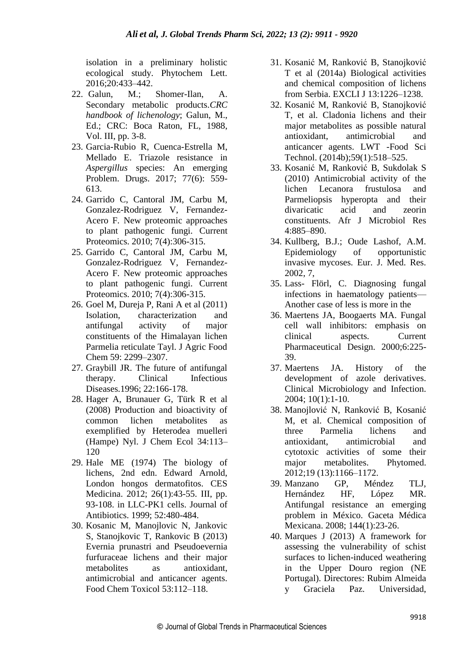isolation in a preliminary holistic ecological study. Phytochem Lett. 2016;20:433–442.

- 22. Galun, M.; Shomer-Ilan, A. Secondary metabolic products.*CRC handbook of lichenology*; Galun, M., Ed.; CRC: Boca Raton, FL, 1988, Vol. III, pp. 3-8.
- 23. Garcia-Rubio R, Cuenca-Estrella M, Mellado E. Triazole resistance in *Aspergillus* species: An emerging Problem. Drugs. 2017; 77(6): 559- 613.
- 24. Garrido C, Cantoral JM, Carbu M, Gonzalez-Rodriguez V, Fernandez-Acero F. New proteomic approaches to plant pathogenic fungi. Current Proteomics. 2010; 7(4):306-315.
- 25. Garrido C, Cantoral JM, Carbu M, Gonzalez-Rodriguez V, Fernandez-Acero F. New proteomic approaches to plant pathogenic fungi. Current Proteomics. 2010; 7(4):306-315.
- 26. Goel M, Dureja P, Rani A et al (2011) Isolation, characterization and antifungal activity of major constituents of the Himalayan lichen Parmelia reticulate Tayl. J Agric Food Chem 59: 2299–2307.
- 27. Graybill JR. The future of antifungal therapy. Clinical Infectious Diseases.1996; 22:166-178.
- 28. Hager A, Brunauer G, Türk R et al (2008) Production and bioactivity of common lichen metabolites as exemplified by Heterodea muelleri (Hampe) Nyl. J Chem Ecol 34:113– 120
- 29. Hale ME (1974) The biology of lichens, 2nd edn. Edward Arnold, London hongos dermatofitos. CES Medicina. 2012; 26(1):43-55. III, pp. 93-108. in LLC-PK1 cells. Journal of Antibiotics. 1999; 52:480-484.
- 30. Kosanic M, Manojlovic N, Jankovic S, Stanojkovic T, Rankovic B (2013) Evernia prunastri and Pseudoevernia furfuraceae lichens and their major metabolites as antioxidant, antimicrobial and anticancer agents. Food Chem Toxicol 53:112–118.
- 31. Kosanić M, Ranković B, Stanojković T et al (2014a) Biological activities and chemical composition of lichens from Serbia. EXCLI J 13:1226–1238.
- 32. Kosanić M, Ranković B, Stanojković T, et al. Cladonia lichens and their major metabolites as possible natural antioxidant, antimicrobial and anticancer agents. LWT -Food Sci Technol. (2014b);59(1):518–525.
- 33. Kosanić M, Ranković B, Sukdolak S (2010) Antimicrobial activity of the lichen Lecanora frustulosa and Parmeliopsis hyperopta and their divaricatic acid and zeorin constituents. Afr J Microbiol Res 4:885–890.
- 34. Kullberg, B.J.; Oude Lashof, A.M. Epidemiology of opportunistic invasive mycoses. Eur. J. Med. Res. 2002, 7,
- 35. Lass- Flörl, C. Diagnosing fungal infections in haematology patients— Another case of less is more in the
- 36. Maertens JA, Boogaerts MA. Fungal cell wall inhibitors: emphasis on clinical aspects. Current Pharmaceutical Design. 2000;6:225- 39.
- 37. Maertens JA. History of the development of azole derivatives. Clinical Microbiology and Infection. 2004; 10(1):1-10.
- 38. Manojlović N, Ranković B, Kosanić M, et al. Chemical composition of three Parmelia lichens and antioxidant, antimicrobial and cytotoxic activities of some their major metabolites. Phytomed. 2012;19 (13):1166–1172.
- 39. Manzano GP, Méndez TLJ, Hernández HF, López MR. Antifungal resistance an emerging problem in México. Gaceta Médica Mexicana. 2008; 144(1):23-26.
- 40. Marques J (2013) A framework for assessing the vulnerability of schist surfaces to lichen-induced weathering in the Upper Douro region (NE Portugal). Directores: Rubim Almeida y Graciela Paz. Universidad,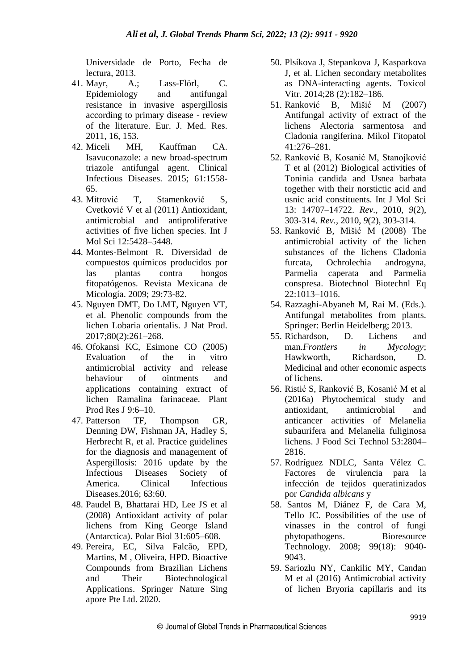Universidade de Porto, Fecha de lectura, 2013.

- 41. Mayr, A.; Lass-Flörl, C. Epidemiology and antifungal resistance in invasive aspergillosis according to primary disease - review of the literature. Eur. J. Med. Res. 2011, 16, 153.
- 42. Miceli MH, Kauffman CA. Isavuconazole: a new broad-spectrum triazole antifungal agent. Clinical Infectious Diseases. 2015; 61:1558- 65.
- 43 Mitrović T, Stamenković S, Cvetković V et al (2011) Antioxidant, antimicrobial and antiproliferative activities of five lichen species. Int J Mol Sci 12:5428–5448.
- 44. Montes-Belmont R. Diversidad de compuestos químicos producidos por las plantas contra hongos fitopatógenos. Revista Mexicana de Micología. 2009; 29:73-82.
- 45. Nguyen DMT, Do LMT, Nguyen VT, et al. Phenolic compounds from the lichen Lobaria orientalis. J Nat Prod. 2017;80(2):261–268.
- 46. Ofokansi KC, Esimone CO (2005) Evaluation of the in vitro antimicrobial activity and release behaviour of ointments and applications containing extract of lichen Ramalina farinaceae. Plant Prod Res J 9:6–10.
- 47. Patterson TF, Thompson GR, Denning DW, Fishman JA, Hadley S, Herbrecht R, et al. Practice guidelines for the diagnosis and management of Aspergillosis: 2016 update by the Infectious Diseases Society of America. Clinical Infectious Diseases.2016; 63:60.
- 48. Paudel B, Bhattarai HD, Lee JS et al (2008) Antioxidant activity of polar lichens from King George Island (Antarctica). Polar Biol 31:605–608.
- 49. Pereira, EC, Silva Falcão, EPD, Martins, M , Oliveira, HPD. Bioactive Compounds from Brazilian Lichens and Their Biotechnological Applications. Springer Nature Sing apore Pte Ltd. 2020.
- 50. Plsíkova J, Stepankova J, Kasparkova J, et al. Lichen secondary metabolites as DNA-interacting agents. Toxicol Vitr. 2014;28 (2):182–186.
- 51. Ranković B, Mišić M (2007) Antifungal activity of extract of the lichens Alectoria sarmentosa and Cladonia rangiferina. Mikol Fitopatol 41:276–281.
- 52. Ranković B, Kosanić M, Stanojković T et al (2012) Biological activities of Toninia candida and Usnea barbata together with their norstictic acid and usnic acid constituents. Int J Mol Sci 13: 14707–14722. *Rev.,* 2010, *9*(2), 303-314. *Rev.,* 2010, *9*(2), 303-314.
- 53. Ranković B, Mišić M (2008) The antimicrobial activity of the lichen substances of the lichens Cladonia furcata, Ochrolechia androgyna, Parmelia caperata and Parmelia conspresa. Biotechnol Biotechnl Eq 22:1013–1016.
- 54. Razzaghi-Abyaneh M, Rai M. (Eds.). Antifungal metabolites from plants. Springer: Berlin Heidelberg; 2013.
- 55. Richardson, D. Lichens and man.*Frontiers in Mycology*; Hawkworth, Richardson, D. Medicinal and other economic aspects of lichens.
- 56. Ristić S, Ranković B, Kosanić M et al (2016a) Phytochemical study and antioxidant, antimicrobial and anticancer activities of Melanelia subaurifera and Melanelia fuliginosa lichens. J Food Sci Technol 53:2804– 2816.
- 57. Rodríguez NDLC, Santa Vélez C. Factores de virulencia para la infección de tejidos queratinizados por *Candida albicans* y
- 58. Santos M, Diánez F, de Cara M, Tello JC. Possibilities of the use of vinasses in the control of fungi phytopathogens. Bioresource Technology. 2008; 99(18): 9040- 9043.
- 59. Sariozlu NY, Cankilic MY, Candan M et al (2016) Antimicrobial activity of lichen Bryoria capillaris and its